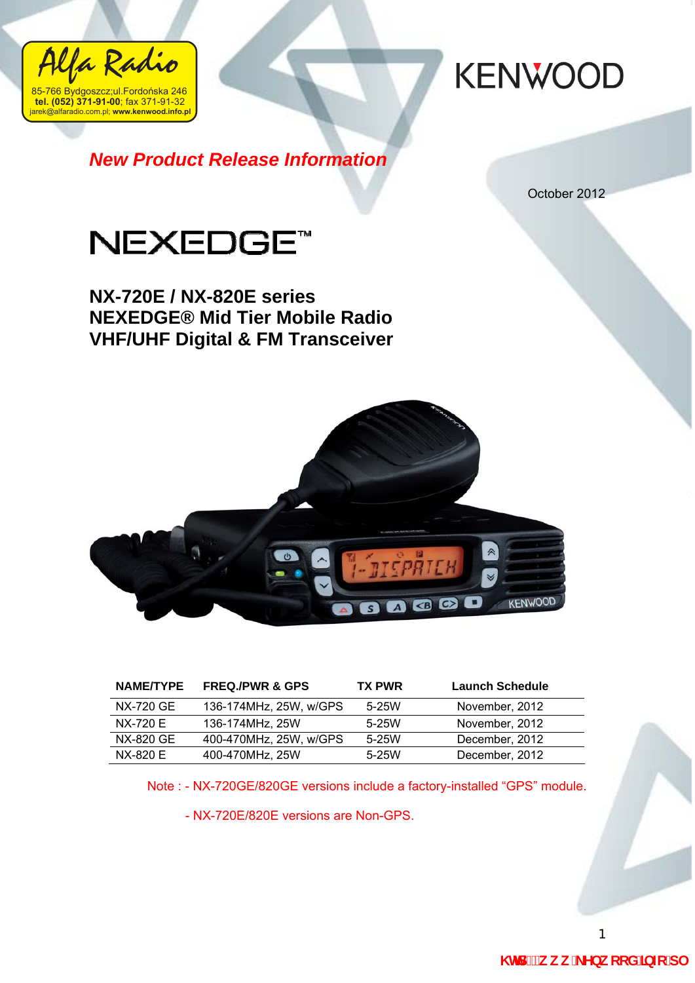

*New Product Release Information*

October 2012



**NX-720E / NX-820E series NEXEDGE® Mid Tier Mobile Radio VHF/UHF Digital & FM Transceiver** 



| <b>NAME/TYPE</b> | <b>FREQ./PWR &amp; GPS</b> | <b>TX PWR</b> | <b>Launch Schedule</b> |
|------------------|----------------------------|---------------|------------------------|
| NX-720 GE        | 136-174MHz, 25W, w/GPS     | $5-25W$       | November, 2012         |
| <b>NX-720 E</b>  | 136-174MHz, 25W            | $5-25W$       | November, 2012         |
| NX-820 GE        | 400-470MHz, 25W, w/GPS     | $5-25W$       | December, 2012         |
| NX-820 E         | 400-470MHz, 25W            | $5-25W$       | December, 2012         |

Note : - NX-720GE/820GE versions include a factory-installed "GPS" module.

- NX-720E/820E versions are Non-GPS.

1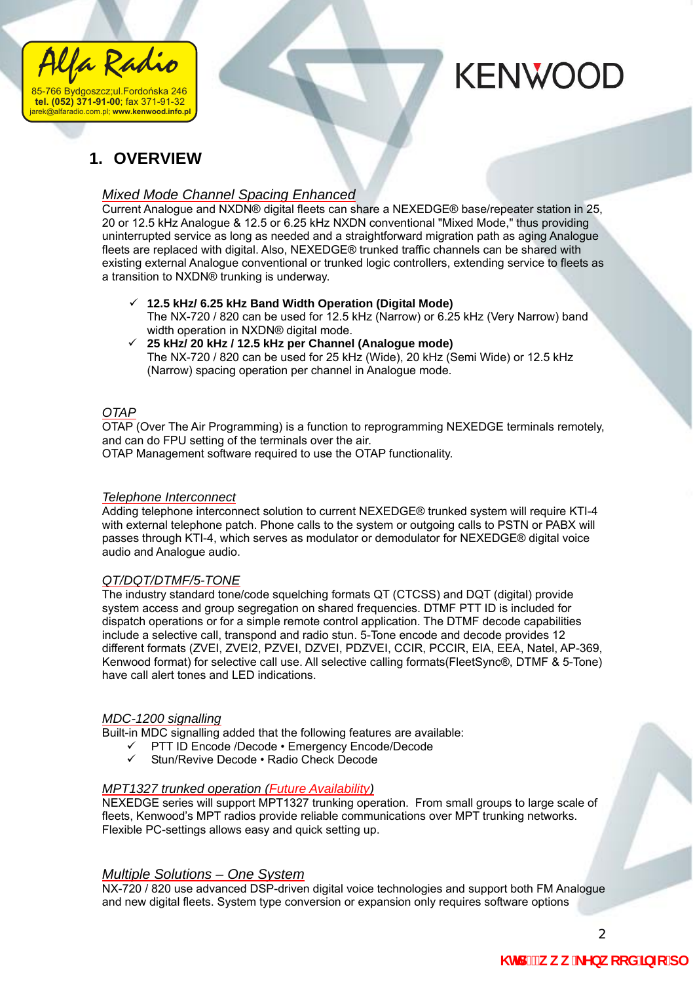

### **1. OVERVIEW**

#### *Mixed Mode Channel Spacing Enhanced*

Current Analogue and NXDN® digital fleets can share a NEXEDGE® base/repeater station in 25, 20 or 12.5 kHz Analogue & 12.5 or 6.25 kHz NXDN conventional "Mixed Mode," thus providing uninterrupted service as long as needed and a straightforward migration path as aging Analogue fleets are replaced with digital. Also, NEXEDGE® trunked traffic channels can be shared with existing external Analogue conventional or trunked logic controllers, extending service to fleets as a transition to NXDN® trunking is underway.

- 9 **12.5 kHz/ 6.25 kHz Band Width Operation (Digital Mode)**  The NX-720 / 820 can be used for 12.5 kHz (Narrow) or 6.25 kHz (Very Narrow) band width operation in NXDN® digital mode.
- 9 **25 kHz/ 20 kHz / 12.5 kHz per Channel (Analogue mode)**  The NX-720 / 820 can be used for 25 kHz (Wide), 20 kHz (Semi Wide) or 12.5 kHz (Narrow) spacing operation per channel in Analogue mode.

#### *OTAP*

OTAP (Over The Air Programming) is a function to reprogramming NEXEDGE terminals remotely, and can do FPU setting of the terminals over the air. OTAP Management software required to use the OTAP functionality.

### *Telephone Interconnect*

Adding telephone interconnect solution to current NEXEDGE® trunked system will require KTI-4 with external telephone patch. Phone calls to the system or outgoing calls to PSTN or PABX will passes through KTI-4, which serves as modulator or demodulator for NEXEDGE® digital voice audio and Analogue audio.

#### *QT/DQT/DTMF/5-TONE*

The industry standard tone/code squelching formats QT (CTCSS) and DQT (digital) provide system access and group segregation on shared frequencies. DTMF PTT ID is included for dispatch operations or for a simple remote control application. The DTMF decode capabilities include a selective call, transpond and radio stun. 5-Tone encode and decode provides 12 different formats (ZVEI, ZVEI2, PZVEI, DZVEI, PDZVEI, CCIR, PCCIR, EIA, EEA, Natel, AP-369, Kenwood format) for selective call use. All selective calling formats(FleetSync®, DTMF & 5-Tone) have call alert tones and LED indications.

#### *MDC-1200 signalling*

Built-in MDC signalling added that the following features are available:

- $\checkmark$  PTT ID Encode /Decode Emergency Encode/Decode
- Stun/Revive Decode Radio Check Decode

#### *MPT1327 trunked operation (Future Availability)*

NEXEDGE series will support MPT1327 trunking operation. From small groups to large scale of fleets, Kenwood's MPT radios provide reliable communications over MPT trunking networks. Flexible PC-settings allows easy and quick setting up.

#### *Multiple Solutions – One System*

NX-720 / 820 use advanced DSP-driven digital voice technologies and support both FM Analogue and new digital fleets. System type conversion or expansion only requires software options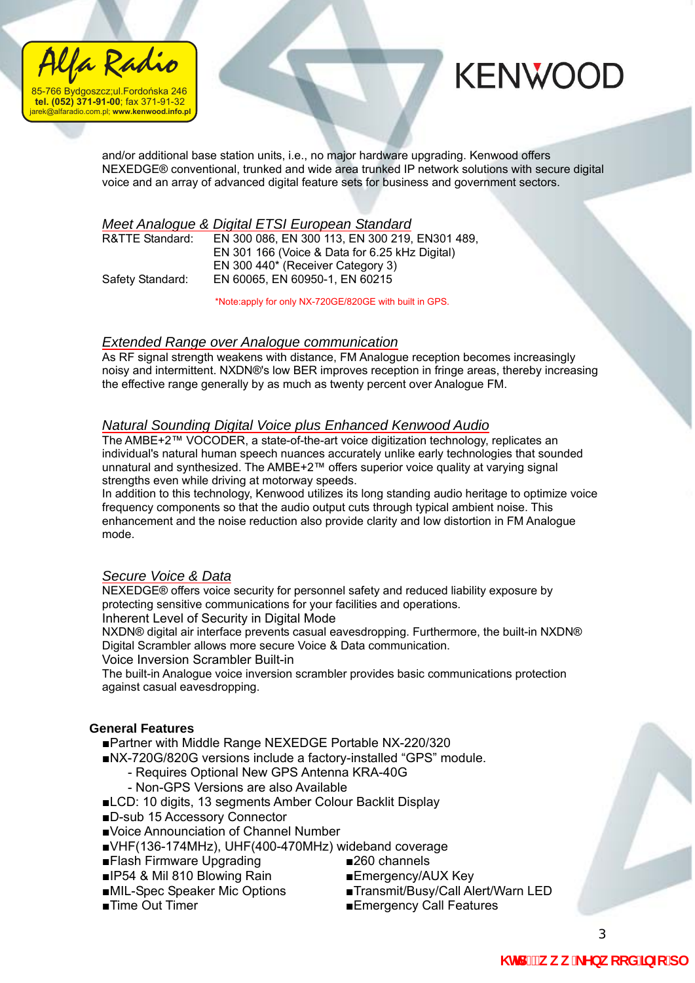



and/or additional base station units, i.e., no major hardware upgrading. Kenwood offers NEXEDGE® conventional, trunked and wide area trunked IP network solutions with secure digital voice and an array of advanced digital feature sets for business and government sectors.

### *Meet Analogue & Digital ETSI European Standard*

| Safety Standard: |  |
|------------------|--|

EN 300 086, EN 300 113, EN 300 219, EN 301 489, EN 301 166 (Voice & Data for 6.25 kHz Digital) EN 300 440\* (Receiver Category 3) Safety Standard: EN 60065, EN 60950-1, EN 60215

\*Note:apply for only NX-720GE/820GE with built in GPS.

#### *Extended Range over Analogue communication*

As RF signal strength weakens with distance, FM Analogue reception becomes increasingly noisy and intermittent. NXDN®'s low BER improves reception in fringe areas, thereby increasing the effective range generally by as much as twenty percent over Analogue FM.

#### *Natural Sounding Digital Voice plus Enhanced Kenwood Audio*

The AMBE+2™ VOCODER, a state-of-the-art voice digitization technology, replicates an individual's natural human speech nuances accurately unlike early technologies that sounded unnatural and synthesized. The AMBE+2™ offers superior voice quality at varying signal strengths even while driving at motorway speeds.

In addition to this technology, Kenwood utilizes its long standing audio heritage to optimize voice frequency components so that the audio output cuts through typical ambient noise. This enhancement and the noise reduction also provide clarity and low distortion in FM Analogue mode.

#### *Secure Voice & Data*

NEXEDGE® offers voice security for personnel safety and reduced liability exposure by protecting sensitive communications for your facilities and operations.

Inherent Level of Security in Digital Mode

NXDN® digital air interface prevents casual eavesdropping. Furthermore, the built-in NXDN® Digital Scrambler allows more secure Voice & Data communication.

Voice Inversion Scrambler Built-in

The built-in Analogue voice inversion scrambler provides basic communications protection against casual eavesdropping.

#### **General Features**

■Partner with Middle Range NEXEDGE Portable NX-220/320

■NX-720G/820G versions include a factory-installed "GPS" module.

- Requires Optional New GPS Antenna KRA-40G
- Non-GPS Versions are also Available

■LCD: 10 digits, 13 segments Amber Colour Backlit Display

■D-sub 15 Accessory Connector

■Voice Announciation of Channel Number

- ■VHF(136-174MHz), UHF(400-470MHz) wideband coverage
- ■Flash Firmware Upgrading ■260 channels
- ■IP54 & Mil 810 Blowing Rain ■Emergency/AUX Key
- 
- 
- 
- 
- ■MIL-Spec Speaker Mic Options ■Transmit/Busy/Call Alert/Warn LED
- ■Time Out Timer ■Emergency Call Features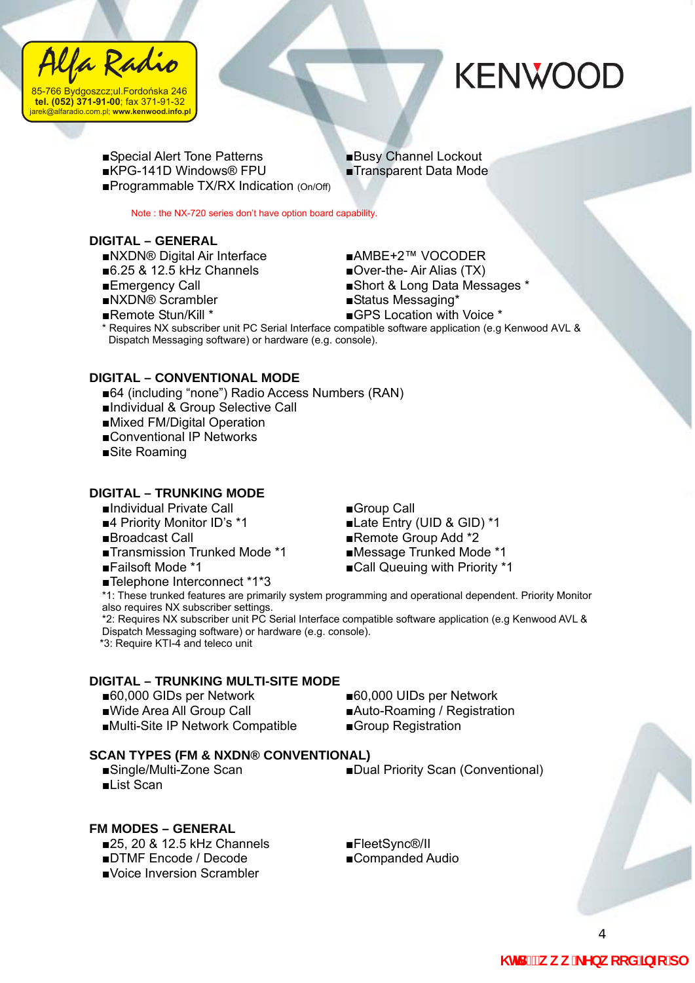



■Special Alert Tone Patterns ■Busy Channel Lockout ■KPG-141D Windows® FPU ■Transparent Data Mode ■Programmable TX/RX Indication (On/Off)

Note : the NX-720 series don't have option board capability.

#### **DIGITAL – GENERAL**

- ■NXDN® Digital Air Interface ■AMBE+2™ VOCODER
- ■6.25 & 12.5 kHz Channels ■Over-the-Air Alias (TX)
- 
- 

- 
- ■Emergency Call ■Short & Long Data Messages \*
- ■NXDN® Scrambler ■Status Messaging\*
- 

■Remote Stun/Kill \* ■GPS Location with Voice \* \* Requires NX subscriber unit PC Serial Interface compatible software application (e.g Kenwood AVL & Dispatch Messaging software) or hardware (e.g. console).

#### **DIGITAL – CONVENTIONAL MODE**

- ■64 (including "none") Radio Access Numbers (RAN)
- ■Individual & Group Selective Call
- ■Mixed FM/Digital Operation
- ■Conventional IP Networks
- ■Site Roaming

#### **DIGITAL – TRUNKING MODE**

- ■Individual Private Call ■Group Call
- 
- 
- ■Transmission Trunked Mode \*1 ■Message Trunked Mode \*1
- 
- ■Telephone Interconnect \*1\*3

- ■4 Priority Monitor ID's \*1 ■Late Entry (UID & GID) \*1
- ■Broadcast Call ■Remote Group Add \*2
	-
- ■Failsoft Mode \*1 ■Call Queuing with Priority \*1

\*1: These trunked features are primarily system programming and operational dependent. Priority Monitor also requires NX subscriber settings.

\*2: Requires NX subscriber unit PC Serial Interface compatible software application (e.g Kenwood AVL & Dispatch Messaging software) or hardware (e.g. console).

\*3: Require KTI-4 and teleco unit

#### **DIGITAL – TRUNKING MULTI-SITE MODE**

- 
- 
- ■Multi-Site IP Network Compatible ■Group Registration
- ■60,000 GIDs per Network ■60,000 UIDs per Network ■Wide Area All Group Call ■Auto-Roaming / Registration

#### **SCAN TYPES (FM & NXDN® CONVENTIONAL)**

■Single/Multi-Zone Scan ■Dual Priority Scan (Conventional) ■List Scan

#### **FM MODES – GENERAL**

■25, 20 & 12.5 kHz Channels ■FleetSync®/II

- ■DTMF Encode / Decode ■Companded Audio
- ■Voice Inversion Scrambler
- 
-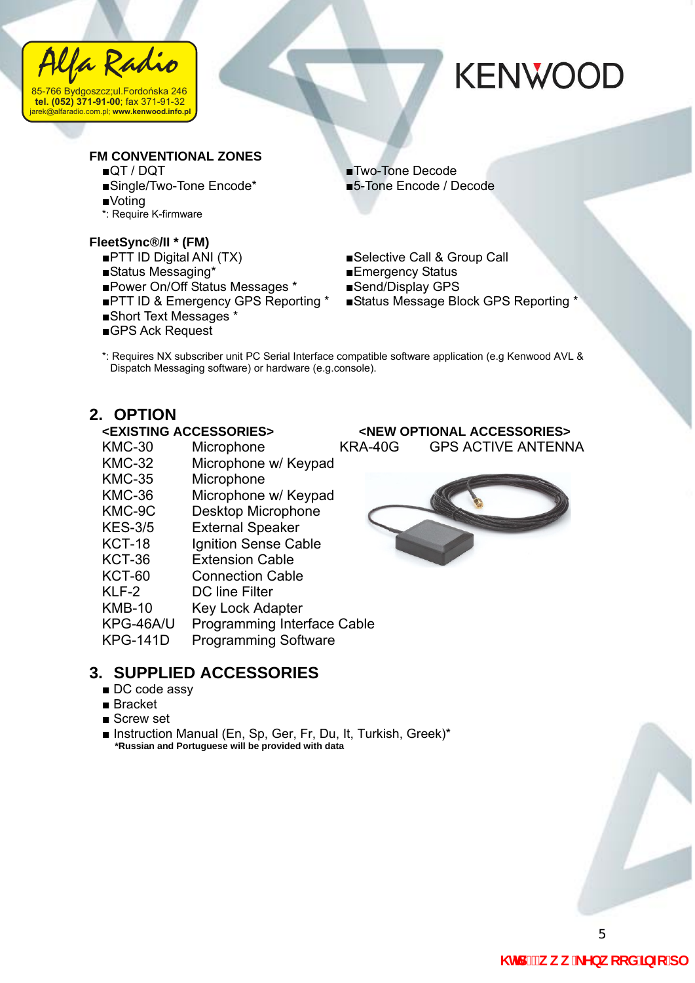

#### **FM CONVENTIONAL ZONES**

- 
- ■Single/Two-Tone Encode\* ■5-Tone Encode / Decode
- ■Voting
- \*: Require K-firmware

#### **FleetSync®/II \* (FM)**

- 
- ■Status Messaging\* ■Emergency Status
- 
- ■Power On/Off Status Messages \* ■Send/Display GPS<br>■PTT ID & Emergency GPS Reporting \* ■Status Message Block GPS Reporting ■PTT ID & Emergency GPS Reporting \*
- ■Short Text Messages \*
- ■GPS Ack Request

■QT / DQT ■Two-Tone Decode

- ■PTT ID Digital ANI (TX) ■Selective Call & Group Call
	-
	-
	-
- \*: Requires NX subscriber unit PC Serial Interface compatible software application (e.g Kenwood AVL & Dispatch Messaging software) or hardware (e.g.console).

## **2. OPTION**<br> **EXISTING ACCESSORIES**

- KMC-30 Microphone KRA-40G GPS ACTIVE ANTENNA
- KMC-32 Microphone w/ Keypad
- KMC-35 Microphone
- KMC-36 Microphone w/ Keypad
- KMC-9C Desktop Microphone
- KES-3/5 External Speaker
- KCT-18 Ignition Sense Cable
- KCT-36 Extension Cable
- KCT-60 Connection Cable
- KLF-2 DC line Filter
- KMB-10 Key Lock Adapter
- KPG-46A/U Programming Interface Cable
- KPG-141D Programming Software

#### **3. SUPPLIED ACCESSORIES**

- DC code assy
- Bracket
- Screw set
- Instruction Manual (En, Sp, Ger, Fr, Du, It, Turkish, Greek)\* **\*Russian and Portuguese will be provided with data**



**<NEW OPTIONAL ACCESSORIES>** 

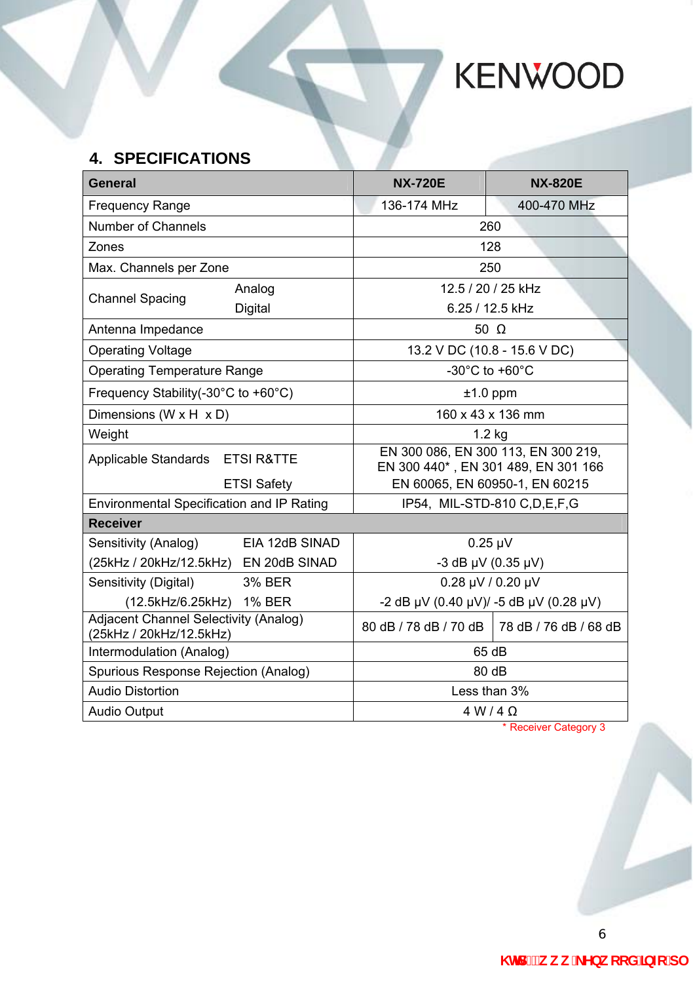### **4. SPECIFICATIONS**

| <b>General</b>                                                          |                                | <b>NX-720E</b>                                                             | <b>NX-820E</b>                                |  |  |
|-------------------------------------------------------------------------|--------------------------------|----------------------------------------------------------------------------|-----------------------------------------------|--|--|
| <b>Frequency Range</b>                                                  |                                | 136-174 MHz                                                                | 400-470 MHz                                   |  |  |
| <b>Number of Channels</b>                                               |                                | 260                                                                        |                                               |  |  |
| Zones                                                                   |                                | 128                                                                        |                                               |  |  |
| Max. Channels per Zone                                                  |                                | 250                                                                        |                                               |  |  |
|                                                                         | Analog                         | 12.5 / 20 / 25 kHz                                                         |                                               |  |  |
| <b>Channel Spacing</b>                                                  | Digital                        | 6.25 / 12.5 kHz                                                            |                                               |  |  |
| Antenna Impedance                                                       |                                | 50 $\Omega$                                                                |                                               |  |  |
| <b>Operating Voltage</b>                                                |                                | 13.2 V DC (10.8 - 15.6 V DC)                                               |                                               |  |  |
| <b>Operating Temperature Range</b>                                      |                                | -30 $^{\circ}$ C to +60 $^{\circ}$ C                                       |                                               |  |  |
| Frequency Stability(-30°C to +60°C)                                     |                                | $±1.0$ ppm                                                                 |                                               |  |  |
| Dimensions (W $\times$ H $\times$ D)                                    |                                | 160 x 43 x 136 mm                                                          |                                               |  |  |
| Weight                                                                  |                                | $1.2$ kg                                                                   |                                               |  |  |
| Applicable Standards ETSI R&TTE                                         |                                | EN 300 086, EN 300 113, EN 300 219,<br>EN 300 440*, EN 301 489, EN 301 166 |                                               |  |  |
|                                                                         | <b>ETSI Safety</b>             | EN 60065, EN 60950-1, EN 60215                                             |                                               |  |  |
| <b>Environmental Specification and IP Rating</b>                        |                                | IP54, MIL-STD-810 C, D, E, F, G                                            |                                               |  |  |
| <b>Receiver</b>                                                         |                                |                                                                            |                                               |  |  |
| Sensitivity (Analog)                                                    | EIA 12dB SINAD<br>$0.25 \mu V$ |                                                                            |                                               |  |  |
| (25kHz / 20kHz/12.5kHz) EN 20dB SINAD                                   |                                | $-3$ dB $\mu$ V (0.35 $\mu$ V)                                             |                                               |  |  |
| Sensitivity (Digital)                                                   | <b>3% BER</b>                  | 0.28 µV / 0.20 µV                                                          |                                               |  |  |
| (12.5kHz/6.25kHz) 1% BER                                                |                                | -2 dB µV (0.40 µV)/ -5 dB µV (0.28 µV)                                     |                                               |  |  |
| <b>Adjacent Channel Selectivity (Analog)</b><br>(25kHz / 20kHz/12.5kHz) |                                |                                                                            | 80 dB / 78 dB / 70 dB   78 dB / 76 dB / 68 dB |  |  |
| Intermodulation (Analog)                                                |                                | 65 dB                                                                      |                                               |  |  |
| Spurious Response Rejection (Analog)                                    |                                | 80 dB                                                                      |                                               |  |  |
| <b>Audio Distortion</b>                                                 |                                | Less than 3%                                                               |                                               |  |  |
| <b>Audio Output</b>                                                     |                                | $4 W/4 \Omega$                                                             |                                               |  |  |

\* Receiver Category 3